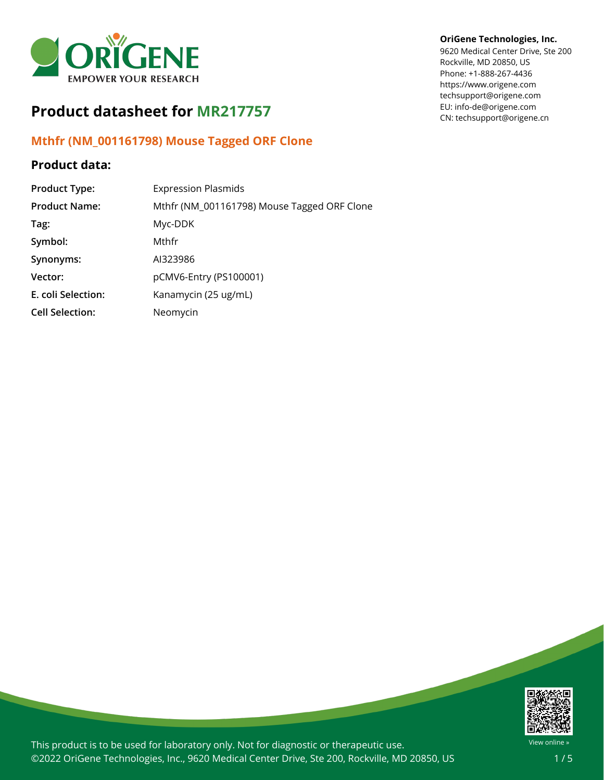

# **Product datasheet for MR217757**

### **Mthfr (NM\_001161798) Mouse Tagged ORF Clone**

## **Product data:**

| <b>Product Type:</b>   | <b>Expression Plasmids</b>                  |
|------------------------|---------------------------------------------|
| <b>Product Name:</b>   | Mthfr (NM_001161798) Mouse Tagged ORF Clone |
| Tag:                   | Myc-DDK                                     |
| Symbol:                | Mthfr                                       |
| Synonyms:              | AI323986                                    |
| Vector:                | pCMV6-Entry (PS100001)                      |
| E. coli Selection:     | Kanamycin (25 ug/mL)                        |
| <b>Cell Selection:</b> | Neomycin                                    |

#### **OriGene Technologies, Inc.**

9620 Medical Center Drive, Ste 200 Rockville, MD 20850, US Phone: +1-888-267-4436 https://www.origene.com techsupport@origene.com EU: info-de@origene.com CN: techsupport@origene.cn



This product is to be used for laboratory only. Not for diagnostic or therapeutic use. ©2022 OriGene Technologies, Inc., 9620 Medical Center Drive, Ste 200, Rockville, MD 20850, US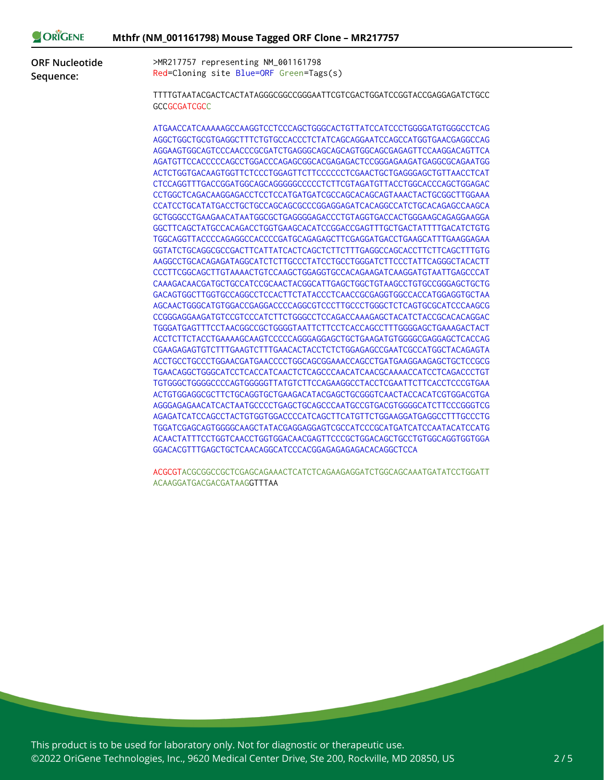| >MR217757 representing NM_001161798<br><b>ORF Nucleotide</b><br>Red=Cloning site Blue=ORF Green=Tags(s)<br>Sequence:<br>TTTTGTAATACGACTCACTATAGGGCGGCCGGGAATTCGTCGACTGGATCCGGTACCGAGGAGATCTGCC<br><b>GCCGCGATCGCC</b>                                                                                                                                                                                                                                                                                                                                                                                                                                                                                                                                                                                                                                                                                                                                                                                                                                                                                                                                                                                                                                                                                                                                                                                                                                                                                                                                                                                                                                                                |  |
|--------------------------------------------------------------------------------------------------------------------------------------------------------------------------------------------------------------------------------------------------------------------------------------------------------------------------------------------------------------------------------------------------------------------------------------------------------------------------------------------------------------------------------------------------------------------------------------------------------------------------------------------------------------------------------------------------------------------------------------------------------------------------------------------------------------------------------------------------------------------------------------------------------------------------------------------------------------------------------------------------------------------------------------------------------------------------------------------------------------------------------------------------------------------------------------------------------------------------------------------------------------------------------------------------------------------------------------------------------------------------------------------------------------------------------------------------------------------------------------------------------------------------------------------------------------------------------------------------------------------------------------------------------------------------------------|--|
|                                                                                                                                                                                                                                                                                                                                                                                                                                                                                                                                                                                                                                                                                                                                                                                                                                                                                                                                                                                                                                                                                                                                                                                                                                                                                                                                                                                                                                                                                                                                                                                                                                                                                      |  |
|                                                                                                                                                                                                                                                                                                                                                                                                                                                                                                                                                                                                                                                                                                                                                                                                                                                                                                                                                                                                                                                                                                                                                                                                                                                                                                                                                                                                                                                                                                                                                                                                                                                                                      |  |
|                                                                                                                                                                                                                                                                                                                                                                                                                                                                                                                                                                                                                                                                                                                                                                                                                                                                                                                                                                                                                                                                                                                                                                                                                                                                                                                                                                                                                                                                                                                                                                                                                                                                                      |  |
| AGGCTGGCTGCGTGAGGCTTTCTGTGCCACCCTCTATCAGCAGGAATCCAGCCATGGTGAACGAGGCCAG<br>AGGAAGTGGCAGTCCCAACCCGCGATCTGAGGGCAGCAGCAGTGGCAGCGAGAGTTCCAAGGACAGTTCA<br>AGATGTTCCACCCCCAGCCTGGACCCAGAGCGGCACGAGAGACTCCGGGAGAAGATGAGGCGCAGAATGG<br>ACTCTGGTGACAAGTGGTTCTCCCTGGAGTTCTTCCCCCCTCGAACTGCTGAGGGAGCTGTTAACCTCAT<br>CTCCAGGTTTGACCGGATGGCAGCAGGGGGCCCCCTCTTCGTAGATGTTACCTGGCACCCAGCTGGAGAC<br>CCTGGCTCAGACAAGGAGACCTCCTCCATGATGATCGCCAGCAGCAGTAAACTACTGCGGCTTGGAAA<br>CCATCCTGCATATGACCTGCTGCCAGCAGCGCCCGGAGGAGATCACAGGCCATCTGCACAGAGCCAAGCA<br>GGCTTCAGCTATGCCACAGACCTGGTGAAGCACATCCGGACCGAGTTTGCTGACTATTTTGACATCTGTG<br>TGGCAGGTTACCCCAGAGGCCACCCCGATGCAGAGAGCTTCGAGGATGACCTGAAGCATTTGAAGGAGAA<br>GGTATCTGCAGGCGCCGACTTCATTATCACTCAGCTCTTCTTTGAGGCCAGCACCTTCTTCAGCTTTGTG<br>CCCTTCGGCAGCTTGTAAAACTGTCCAAGCTGGAGGTGCCACAGAAGATCAAGGATGTAATTGAGCCCAT<br>GACAGTGGCTTGGTGCCAGGCCTCCACTTCTATACCCTCAACCGCGAGGTGGCCACCATGGAGGTGCTAA<br>AGCAACTGGGCATGTGGACCGAGGACCCCAGGCGTCCCTTGCCCTGGGCTCTCAGTGCGCATCCCAAGCG<br>CCGGGAGGAAGATGTCCGTCCCATCTTCTGGGCCTCCAGACCAAAGAGCTACATCTACCGCACACAGGAC<br>TGGGATGAGTTTCCTAACGGCCGCTGGGGTAATTCTTCCTCACCAGCCTTTGGGGAGCTGAAAGACTACT<br>ACCTCTTCTACCTGAAAAGCAAGTCCCCCAGGGAGGAGCTGCTGAAGATGTGGGGCGAGGAGCTCACCAG<br>CGAAGAGAGTCTTTGAAGTCTTTGAACACTACCTCTCTGGAGAGCCGAATCGCCATGGCTACAGAGTA<br>TGAACAGGCTGGGCATCCTCACCATCAACTCTCAGCCCAACATCAACGCAAAACCATCCTCAGACCCTGT<br>TGTGGGCTGGGGCCCCAGTGGGGGTTATGTCTTCCAGAAGGCCTACCTCGAATTCTTCACCTCCCGTGAA<br>ACTGTGGAGGCGCTTCTGCAGGTGCTGAAGACATACGAGCTGCGGGTCAACTACCACATCGTGGACGTGA<br>AGGGAGAGAACATCACTAATGCCCCTGAGCTGCAGCCCAATGCCGTGACGTGGGGCATCTTCCCGGGTCG<br>AGAGATCATCCAGCCTACTGTGGTGGACCCCATCAGCTTCATGTTCTGGAAGGATGAGGCCTTTGCCCTG |  |
| TGGATCGAGCAGTGGGGCAAGCTATACGAGGAGGAGTCGCCATCCCGCATGATCATCCAATACATCCATG<br>ACAACTATTTCCTGGTCAACCTGGTGGACAACGAGTTCCCGCTGGACAGCTGCCTGTGGCAGGTGGTGGA                                                                                                                                                                                                                                                                                                                                                                                                                                                                                                                                                                                                                                                                                                                                                                                                                                                                                                                                                                                                                                                                                                                                                                                                                                                                                                                                                                                                                                                                                                                                     |  |

ACGCGTACGCGGCCGCTCGAGCAGAAACTCATCTCAGAAGAGGATCTGGCAGCAAATGATATCCTGGATT ACAAGGATGACGACGATAAGGTTTAA

This product is to be used for laboratory only. Not for diagnostic or therapeutic use. ©2022 OriGene Technologies, Inc., 9620 Medical Center Drive, Ste 200, Rockville, MD 20850, US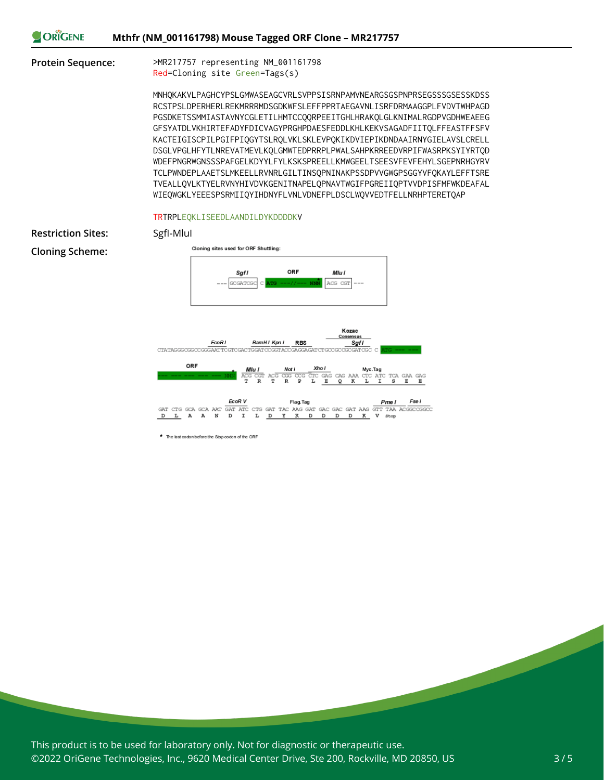| <b>ORIGENE</b> | Mthfr (NM_001161798) Mouse Tagged ORF Clone - MR217757 |
|----------------|--------------------------------------------------------|
|                |                                                        |

**Protein Sequence:** >MR217757 representing NM\_001161798 Red=Cloning site Green=Tags(s)

> MNHQKAKVLPAGHCYPSLGMWASEAGCVRLSVPPSISRNPAMVNEARGSGSPNPRSEGSSSGSESSKDSS RCSTPSLDPERHERLREKMRRRMDSGDKWFSLEFFPPRTAEGAVNLISRFDRMAAGGPLFVDVTWHPAGD PGSDKETSSMMIASTAVNYCGLETILHMTCCQQRPEEITGHLHRAKQLGLKNIMALRGDPVGDHWEAEEG GFSYATDLVKHIRTEFADYFDICVAGYPRGHPDAESFEDDLKHLKEKVSAGADFIITQLFFEASTFFSFV KACTEIGISCPILPGIFPIQGYTSLRQLVKLSKLEVPQKIKDVIEPIKDNDAAIRNYGIELAVSLCRELL DSGLVPGLHFYTLNREVATMEVLKQLGMWTEDPRRPLPWALSAHPKRREEDVRPIFWASRPKSYIYRTQD WDEFPNGRWGNSSSPAFGELKDYYLFYLKSKSPREELLKMWGEELTSEESVFEVFEHYLSGEPNRHGYRV TCLPWNDEPLAAETSLMKEELLRVNRLGILTINSQPNINAKPSSDPVVGWGPSGGYVFQKAYLEFFTSRE TVEALLQVLKTYELRVNYHIVDVKGENITNAPELQPNAVTWGIFPGREIIQPTVVDPISFMFWKDEAFAL WIEQWGKLYEEESPSRMIIQYIHDNYFLVNLVDNEFPLDSCLWQVVEDTFELLNRHPTERETQAP

#### TRTRPLEQKLISEEDLAANDILDYKDDDDKV

| <b>Restriction Sites:</b> | SgfI-Mlul                                                                                                                                                                                                                    |
|---------------------------|------------------------------------------------------------------------------------------------------------------------------------------------------------------------------------------------------------------------------|
| <b>Cloning Scheme:</b>    | Cloning sites used for ORF Shuttling:                                                                                                                                                                                        |
|                           | ORF<br>Sgfl<br>Mlu l<br>ACG CGI<br>GCGATCG<br><b>NMN</b><br>$- - - -$<br>$\frac{1}{2}$                                                                                                                                       |
|                           | Kozac<br>Consensus<br>BamHI Kpn I<br>EcoR1<br><b>Sgfl</b><br><b>RBS</b><br>CTATASGGCGGCCGGGAATTCGTCGACTGGATCCGGTACCGAGGAGATCTGCCGCCGCGATCGC C                                                                                |
|                           | ORF<br>Xho I<br>Mlu I<br>Not I<br>Myc.Tag<br>ACG CGT ACG<br>CGG CCG<br>$_{\rm CTC}$<br>GAG<br>CTC ATC TCA GAA GAG<br>CAG<br><b>NN</b><br>AAA<br>т<br>$\mathbb R$<br>т<br>r<br>R<br>₽<br>L<br>E<br>Q<br>I<br>s<br>к<br>Е<br>Е |
|                           | EcoR V<br>Fse I<br>Flag.Tag<br>Pme I<br>GAT ATC<br>GTT TAA ACGGCCGGCC<br>CTG GAT TAC AAG GAT GAC GAC GAT AAG<br>CTG GCA GCA AAT<br>GAT                                                                                       |
|                           | L<br>I<br>D<br>к<br>А<br>N<br>D<br>х<br>к<br>D<br>D<br>D<br>v<br>L<br>D<br>D<br>А<br>Stop                                                                                                                                    |

\* The last codon before the Stop codon of the ORF

This product is to be used for laboratory only. Not for diagnostic or therapeutic use. ©2022 OriGene Technologies, Inc., 9620 Medical Center Drive, Ste 200, Rockville, MD 20850, US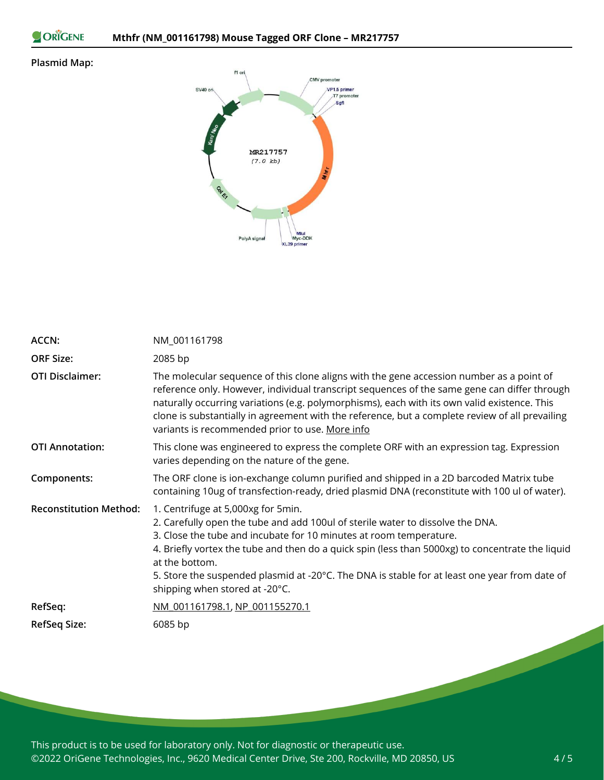ORIGENE

### **Plasmid Map:**



| <b>ACCN:</b>                  | NM_001161798                                                                                                                                                                                                                                                                                                                                                                                                                                        |
|-------------------------------|-----------------------------------------------------------------------------------------------------------------------------------------------------------------------------------------------------------------------------------------------------------------------------------------------------------------------------------------------------------------------------------------------------------------------------------------------------|
| <b>ORF Size:</b>              | 2085 bp                                                                                                                                                                                                                                                                                                                                                                                                                                             |
| <b>OTI Disclaimer:</b>        | The molecular sequence of this clone aligns with the gene accession number as a point of<br>reference only. However, individual transcript sequences of the same gene can differ through<br>naturally occurring variations (e.g. polymorphisms), each with its own valid existence. This<br>clone is substantially in agreement with the reference, but a complete review of all prevailing<br>variants is recommended prior to use. More info      |
| <b>OTI Annotation:</b>        | This clone was engineered to express the complete ORF with an expression tag. Expression<br>varies depending on the nature of the gene.                                                                                                                                                                                                                                                                                                             |
| Components:                   | The ORF clone is ion-exchange column purified and shipped in a 2D barcoded Matrix tube<br>containing 10ug of transfection-ready, dried plasmid DNA (reconstitute with 100 ul of water).                                                                                                                                                                                                                                                             |
| <b>Reconstitution Method:</b> | 1. Centrifuge at 5,000xg for 5min.<br>2. Carefully open the tube and add 100ul of sterile water to dissolve the DNA.<br>3. Close the tube and incubate for 10 minutes at room temperature.<br>4. Briefly vortex the tube and then do a quick spin (less than 5000xg) to concentrate the liquid<br>at the bottom.<br>5. Store the suspended plasmid at -20°C. The DNA is stable for at least one year from date of<br>shipping when stored at -20°C. |
| RefSeq:                       | NM 001161798.1, NP 001155270.1                                                                                                                                                                                                                                                                                                                                                                                                                      |
| <b>RefSeq Size:</b>           | 6085 bp                                                                                                                                                                                                                                                                                                                                                                                                                                             |

This product is to be used for laboratory only. Not for diagnostic or therapeutic use. ©2022 OriGene Technologies, Inc., 9620 Medical Center Drive, Ste 200, Rockville, MD 20850, US